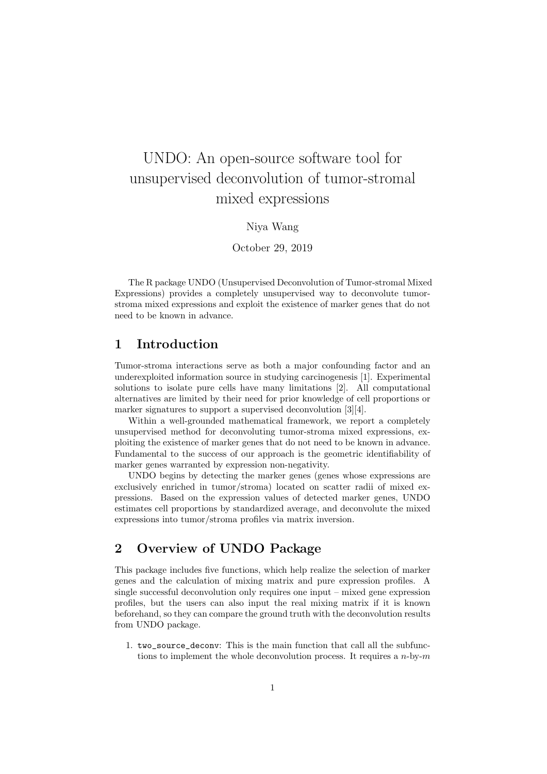# UNDO: An open-source software tool for unsupervised deconvolution of tumor-stromal mixed expressions

#### Niya Wang

October 29, 2019

The R package UNDO (Unsupervised Deconvolution of Tumor-stromal Mixed Expressions) provides a completely unsupervised way to deconvolute tumorstroma mixed expressions and exploit the existence of marker genes that do not need to be known in advance.

#### 1 Introduction

Tumor-stroma interactions serve as both a major confounding factor and an underexploited information source in studying carcinogenesis [1]. Experimental solutions to isolate pure cells have many limitations [2]. All computational alternatives are limited by their need for prior knowledge of cell proportions or marker signatures to support a supervised deconvolution [3][4].

Within a well-grounded mathematical framework, we report a completely unsupervised method for deconvoluting tumor-stroma mixed expressions, exploiting the existence of marker genes that do not need to be known in advance. Fundamental to the success of our approach is the geometric identifiability of marker genes warranted by expression non-negativity.

UNDO begins by detecting the marker genes (genes whose expressions are exclusively enriched in tumor/stroma) located on scatter radii of mixed expressions. Based on the expression values of detected marker genes, UNDO estimates cell proportions by standardized average, and deconvolute the mixed expressions into tumor/stroma profiles via matrix inversion.

## 2 Overview of UNDO Package

This package includes five functions, which help realize the selection of marker genes and the calculation of mixing matrix and pure expression profiles. A single successful deconvolution only requires one input – mixed gene expression profiles, but the users can also input the real mixing matrix if it is known beforehand, so they can compare the ground truth with the deconvolution results from UNDO package.

1. two source deconv: This is the main function that call all the subfunctions to implement the whole deconvolution process. It requires a  $n$ -by- $m$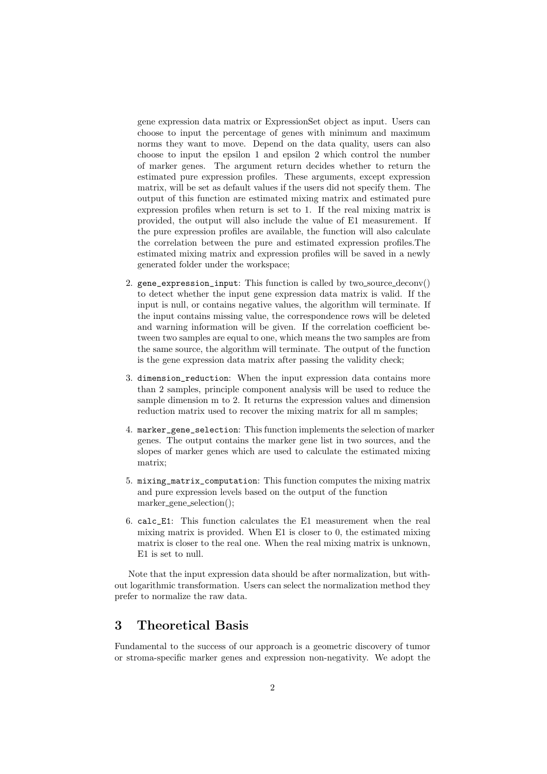gene expression data matrix or ExpressionSet object as input. Users can choose to input the percentage of genes with minimum and maximum norms they want to move. Depend on the data quality, users can also choose to input the epsilon 1 and epsilon 2 which control the number of marker genes. The argument return decides whether to return the estimated pure expression profiles. These arguments, except expression matrix, will be set as default values if the users did not specify them. The output of this function are estimated mixing matrix and estimated pure expression profiles when return is set to 1. If the real mixing matrix is provided, the output will also include the value of E1 measurement. If the pure expression profiles are available, the function will also calculate the correlation between the pure and estimated expression profiles.The estimated mixing matrix and expression profiles will be saved in a newly generated folder under the workspace;

- 2. gene\_expression\_input: This function is called by two source deconv() to detect whether the input gene expression data matrix is valid. If the input is null, or contains negative values, the algorithm will terminate. If the input contains missing value, the correspondence rows will be deleted and warning information will be given. If the correlation coefficient between two samples are equal to one, which means the two samples are from the same source, the algorithm will terminate. The output of the function is the gene expression data matrix after passing the validity check;
- 3. dimension\_reduction: When the input expression data contains more than 2 samples, principle component analysis will be used to reduce the sample dimension m to 2. It returns the expression values and dimension reduction matrix used to recover the mixing matrix for all m samples;
- 4. marker\_gene\_selection: This function implements the selection of marker genes. The output contains the marker gene list in two sources, and the slopes of marker genes which are used to calculate the estimated mixing matrix;
- 5. mixing\_matrix\_computation: This function computes the mixing matrix and pure expression levels based on the output of the function marker gene selection();
- 6. calc\_E1: This function calculates the E1 measurement when the real mixing matrix is provided. When E1 is closer to 0, the estimated mixing matrix is closer to the real one. When the real mixing matrix is unknown, E1 is set to null.

Note that the input expression data should be after normalization, but without logarithmic transformation. Users can select the normalization method they prefer to normalize the raw data.

# 3 Theoretical Basis

Fundamental to the success of our approach is a geometric discovery of tumor or stroma-specific marker genes and expression non-negativity. We adopt the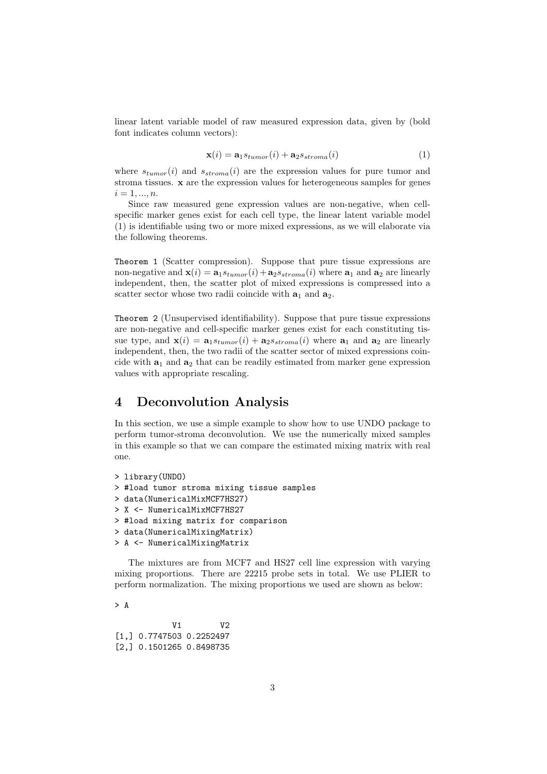linear latent variable model of raw measured expression data, given by (bold font indicates column vectors):

$$
\mathbf{x}(i) = \mathbf{a}_1 s_{tumor}(i) + \mathbf{a}_2 s_{stroma}(i)
$$
\n(1)

where  $s_{tumor}(i)$  and  $s_{stroma}(i)$  are the expression values for pure tumor and stroma tissues. x are the expression values for heterogeneous samples for genes  $i = 1, ..., n$ .

Since raw measured gene expression values are non-negative, when cellspecific marker genes exist for each cell type, the linear latent variable model (1) is identifiable using two or more mixed expressions, as we will elaborate via the following theorems.

Theorem 1 (Scatter compression). Suppose that pure tissue expressions are non-negative and  $\mathbf{x}(i) = \mathbf{a}_1 s_{tumor}(i) + \mathbf{a}_2 s_{stroma}(i)$  where  $\mathbf{a}_1$  and  $\mathbf{a}_2$  are linearly independent, then, the scatter plot of mixed expressions is compressed into a scatter sector whose two radii coincide with  $a_1$  and  $a_2$ .

Theorem 2 (Unsupervised identifiability). Suppose that pure tissue expressions are non-negative and cell-specific marker genes exist for each constituting tissue type, and  $\mathbf{x}(i) = \mathbf{a}_1 s_{tumor}(i) + \mathbf{a}_2 s_{stroma}(i)$  where  $\mathbf{a}_1$  and  $\mathbf{a}_2$  are linearly independent, then, the two radii of the scatter sector of mixed expressions coincide with  $a_1$  and  $a_2$  that can be readily estimated from marker gene expression values with appropriate rescaling.

### 4 Deconvolution Analysis

In this section, we use a simple example to show how to use UNDO package to perform tumor-stroma deconvolution. We use the numerically mixed samples in this example so that we can compare the estimated mixing matrix with real one.

```
> library(UNDO)
```
- > #load tumor stroma mixing tissue samples
- > data(NumericalMixMCF7HS27)
- > X <- NumericalMixMCF7HS27
- > #load mixing matrix for comparison
- > data(NumericalMixingMatrix)
- > A <- NumericalMixingMatrix

The mixtures are from MCF7 and HS27 cell line expression with varying mixing proportions. There are 22215 probe sets in total. We use PLIER to perform normalization. The mixing proportions we used are shown as below:

> A

V1 V2 [1,] 0.7747503 0.2252497 [2,] 0.1501265 0.8498735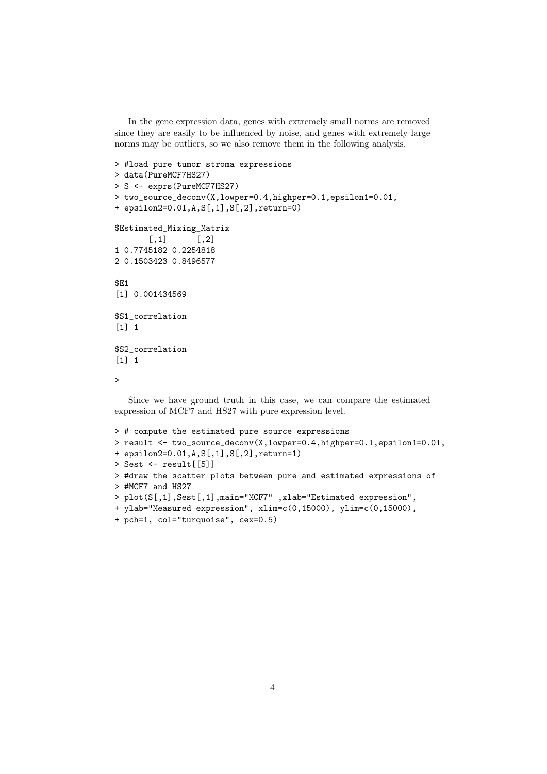In the gene expression data, genes with extremely small norms are removed since they are easily to be influenced by noise, and genes with extremely large norms may be outliers, so we also remove them in the following analysis.

```
> #load pure tumor stroma expressions
> data(PureMCF7HS27)
> S <- exprs(PureMCF7HS27)
> two_source_deconv(X,lowper=0.4,highper=0.1,epsilon1=0.01,
+ epsilon2=0.01,A,S[,1],S[,2],return=0)
$Estimated_Mixing_Matrix
       [0,1] [0,2]1 0.7745182 0.2254818
2 0.1503423 0.8496577
$E1
[1] 0.001434569
$S1_correlation
[1] 1
$S2_correlation
[1] 1
\rightarrow
```
Since we have ground truth in this case, we can compare the estimated expression of MCF7 and HS27 with pure expression level.

```
> # compute the estimated pure source expressions
> result <- two_source_deconv(X,lowper=0.4,highper=0.1,epsilon1=0.01,
+ epsilon2=0.01,A,S[,1],S[,2],return=1)
> Sest <- result[[5]]
> #draw the scatter plots between pure and estimated expressions of
> #MCF7 and HS27
> plot(S[,1],Sest[,1],main="MCF7" ,xlab="Estimated expression",
+ ylab="Measured expression", xlim=c(0,15000), ylim=c(0,15000),
+ pch=1, col="turquoise", cex=0.5)
```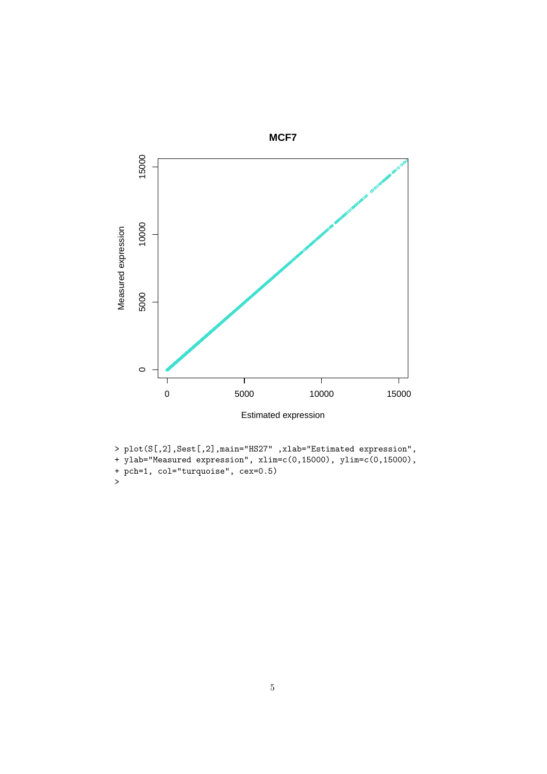

```
> plot(S[,2],Sest[,2],main="HS27" ,xlab="Estimated expression",<br>+ ylab="Measured expression", xlim=c(0,15000), ylim=c(0,15000),<br>+ pch=1, col="turquoise", cex=0.5)
```
 $\rightarrow$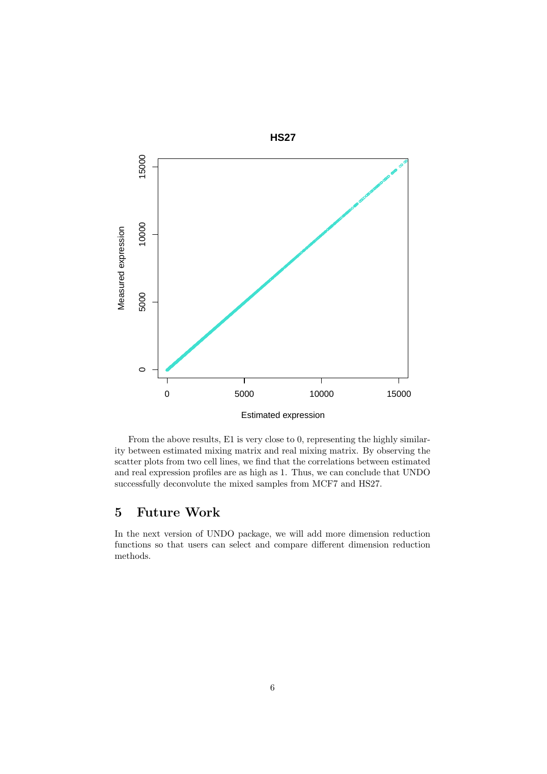

From the above results, E1 is very close to 0, representing the highly similarity between estimated mixing matrix and real mixing matrix. By observing the scatter plots from two cell lines, we find that the correlations between estimated and real expression profiles are as high as 1. Thus, we can conclude that UNDO successfully deconvolute the mixed samples from MCF7 and HS27.

#### **Future Work**  $\overline{5}$

In the next version of UNDO package, we will add more dimension reduction functions so that users can select and compare different dimension reduction  $\quad$  methods.